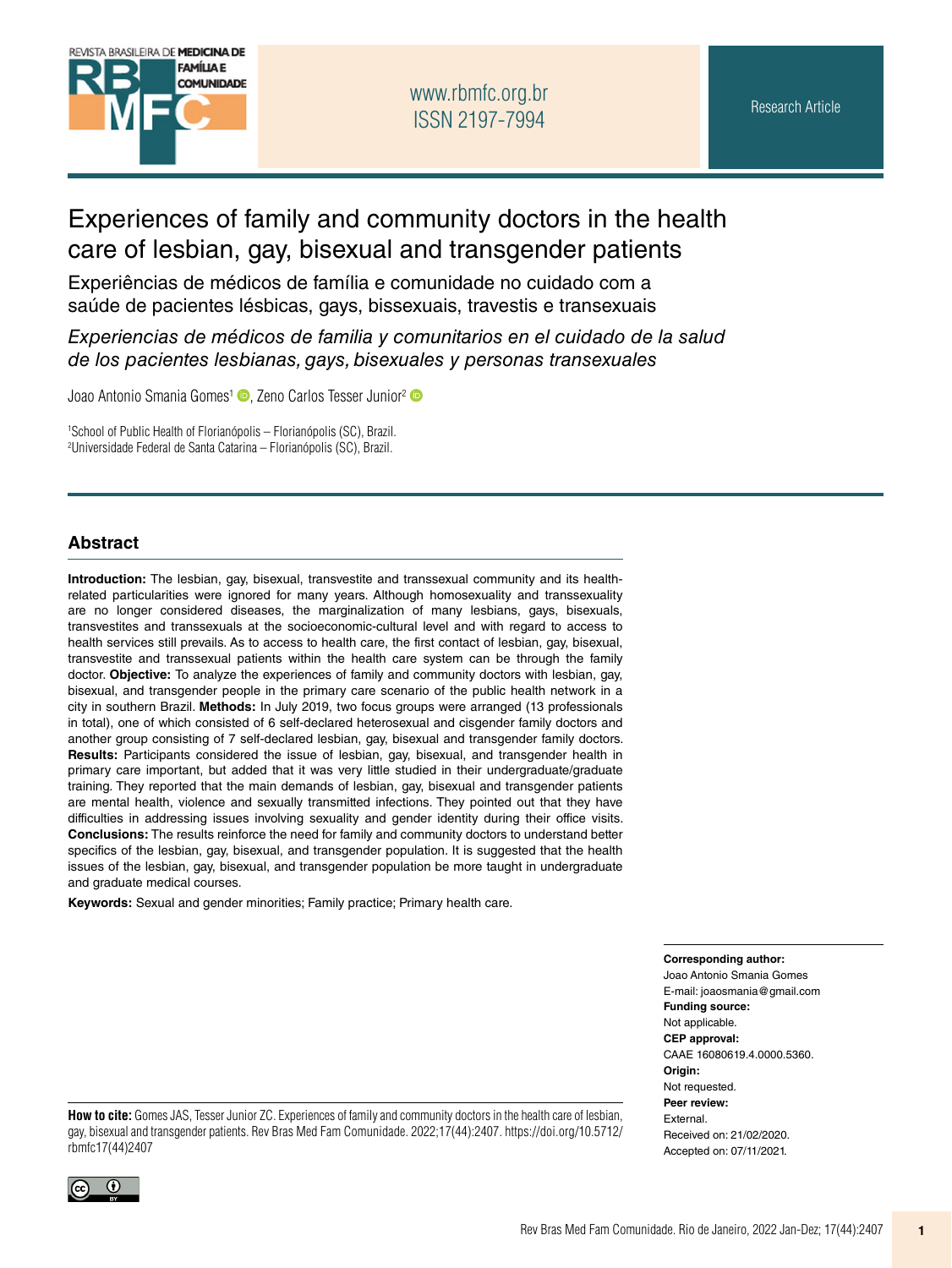

# Experiences of family and community doctors in the health care of lesbian, gay, bisexual and transgender patients

Experiências de médicos de família e comunidade no cuidado com a saúde de pacientes lésbicas, gays, bissexuais, travestis e transexuais

*Experiencias de médicos de familia y comunitarios en el cuidado de la salud de los pacientes lesbianas, gays, bisexuales y personas transexuales*

Joao Antonio Smania Gomes<sup>[1](https://orcid.org/0000-0002-9295-4500)</sup> **D**, Zeno Carlos Tesser Junior<sup>[2](https://orcid.org/0000-0001-6157-2019)</sup> **D** 

1 School of Public Health of Florianópolis – Florianópolis (SC), Brazil. 2 Universidade Federal de Santa Catarina – Florianópolis (SC), Brazil.

#### **Abstract**

**Introduction:** The lesbian, gay, bisexual, transvestite and transsexual community and its healthrelated particularities were ignored for many years. Although homosexuality and transsexuality are no longer considered diseases, the marginalization of many lesbians, gays, bisexuals, transvestites and transsexuals at the socioeconomic-cultural level and with regard to access to health services still prevails. As to access to health care, the first contact of lesbian, gay, bisexual, transvestite and transsexual patients within the health care system can be through the family doctor. **Objective:** To analyze the experiences of family and community doctors with lesbian, gay, bisexual, and transgender people in the primary care scenario of the public health network in a city in southern Brazil. **Methods:** In July 2019, two focus groups were arranged (13 professionals in total), one of which consisted of 6 self-declared heterosexual and cisgender family doctors and another group consisting of 7 self-declared lesbian, gay, bisexual and transgender family doctors. **Results:** Participants considered the issue of lesbian, gay, bisexual, and transgender health in primary care important, but added that it was very little studied in their undergraduate/graduate training. They reported that the main demands of lesbian, gay, bisexual and transgender patients are mental health, violence and sexually transmitted infections. They pointed out that they have difficulties in addressing issues involving sexuality and gender identity during their office visits. **Conclusions:** The results reinforce the need for family and community doctors to understand better specifics of the lesbian, gay, bisexual, and transgender population. It is suggested that the health issues of the lesbian, gay, bisexual, and transgender population be more taught in undergraduate and graduate medical courses.

**Keywords:** Sexual and gender minorities; Family practice; Primary health care.

**Corresponding author:** 

Joao Antonio Smania Gomes E-mail: [joaosmania@gmail.com](mailto:joaosmania@gmail.com) **Funding source:** Not applicable. **CEP approval:** CAAE 16080619.4.0000.5360. **Origin:** Not requested. **Peer review:** External. Received on: 21/02/2020. Accepted on: 07/11/2021.

**How to cite:** Gomes JAS, Tesser Junior ZC. Experiences of family and community doctors in the health care of lesbian, gay, bisexual and transgender patients. Rev Bras Med Fam Comunidade. 2022;17(44):2407. [https://doi.org/10.5712/](https://doi.org/10.5712/rbmfc17(44)2407) [rbmfc17\(44\)](https://doi.org/10.5712/rbmfc17(44)2407)2407

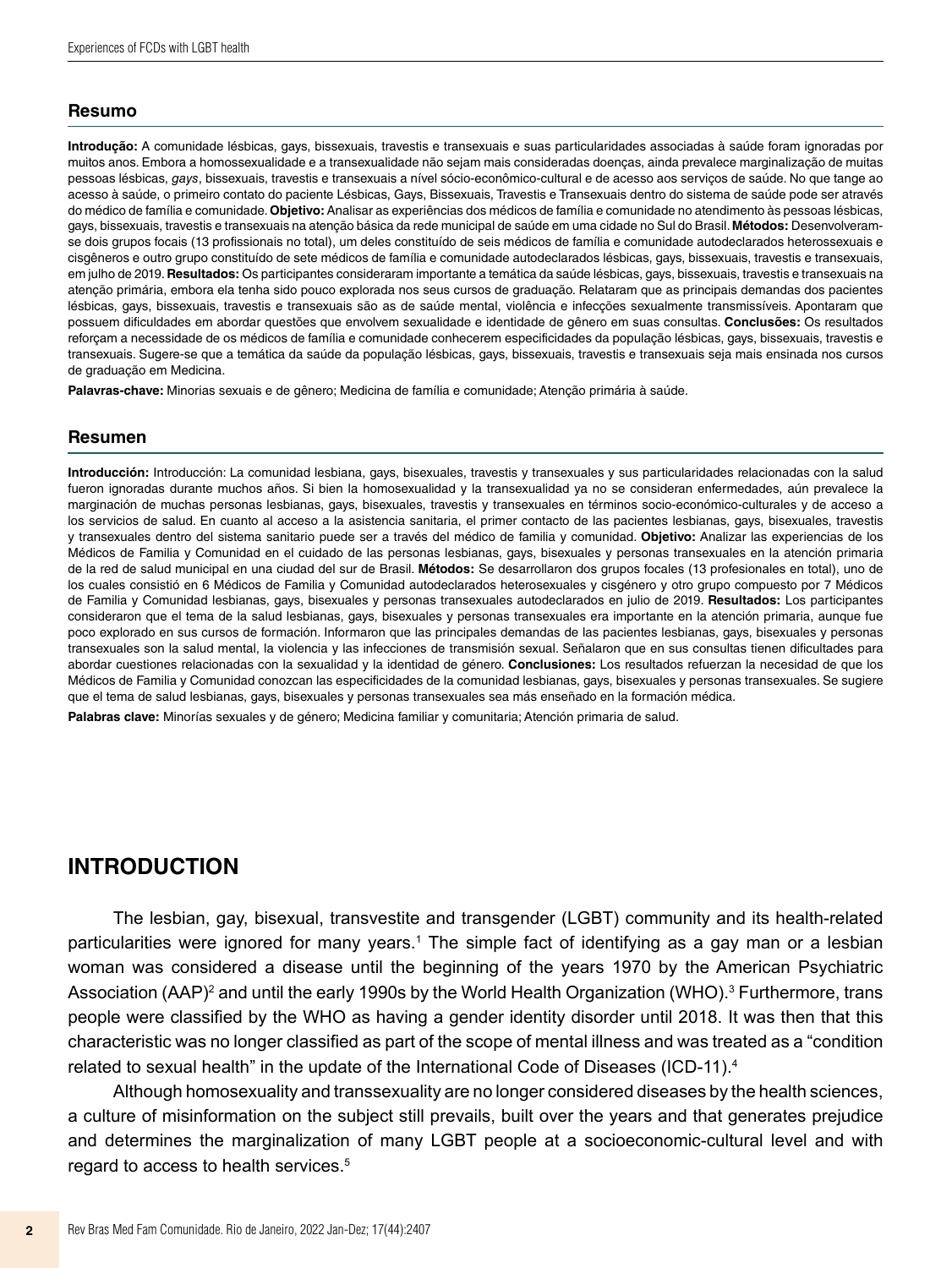#### **Resumo**

**Introdução:** A comunidade lésbicas, gays, bissexuais, travestis e transexuais e suas particularidades associadas à saúde foram ignoradas por muitos anos. Embora a homossexualidade e a transexualidade não sejam mais consideradas doenças, ainda prevalece marginalização de muitas pessoas lésbicas, *gays*, bissexuais, travestis e transexuais a nível sócio-econômico-cultural e de acesso aos serviços de saúde. No que tange ao acesso à saúde, o primeiro contato do paciente Lésbicas, Gays, Bissexuais, Travestis e Transexuais dentro do sistema de saúde pode ser através do médico de família e comunidade. **Objetivo:** Analisar as experiências dos médicos de família e comunidade no atendimento às pessoas lésbicas, gays, bissexuais, travestis e transexuais na atenção básica da rede municipal de saúde em uma cidade no Sul do Brasil. **Métodos:** Desenvolveramse dois grupos focais (13 profissionais no total), um deles constituído de seis médicos de família e comunidade autodeclarados heterossexuais e cisgêneros e outro grupo constituído de sete médicos de família e comunidade autodeclarados lésbicas, gays, bissexuais, travestis e transexuais, em julho de 2019. **Resultados:** Os participantes consideraram importante a temática da saúde lésbicas, gays, bissexuais, travestis e transexuais na atenção primária, embora ela tenha sido pouco explorada nos seus cursos de graduação. Relataram que as principais demandas dos pacientes lésbicas, gays, bissexuais, travestis e transexuais são as de saúde mental, violência e infecções sexualmente transmissíveis. Apontaram que possuem dificuldades em abordar questões que envolvem sexualidade e identidade de gênero em suas consultas. **Conclusões:** Os resultados reforçam a necessidade de os médicos de família e comunidade conhecerem especificidades da população lésbicas, gays, bissexuais, travestis e transexuais. Sugere-se que a temática da saúde da população lésbicas, gays, bissexuais, travestis e transexuais seja mais ensinada nos cursos de graduação em Medicina.

**Palavras-chave:** Minorias sexuais e de gênero; Medicina de família e comunidade; Atenção primária à saúde.

#### **Resumen**

**Introducción:** Introducción: La comunidad lesbiana, gays, bisexuales, travestis y transexuales y sus particularidades relacionadas con la salud fueron ignoradas durante muchos años. Si bien la homosexualidad y la transexualidad ya no se consideran enfermedades, aún prevalece la marginación de muchas personas lesbianas, gays, bisexuales, travestis y transexuales en términos socio-económico-culturales y de acceso a los servicios de salud. En cuanto al acceso a la asistencia sanitaria, el primer contacto de las pacientes lesbianas, gays, bisexuales, travestis y transexuales dentro del sistema sanitario puede ser a través del médico de familia y comunidad. **Objetivo:** Analizar las experiencias de los Médicos de Familia y Comunidad en el cuidado de las personas lesbianas, gays, bisexuales y personas transexuales en la atención primaria de la red de salud municipal en una ciudad del sur de Brasil. **Métodos:** Se desarrollaron dos grupos focales (13 profesionales en total), uno de los cuales consistió en 6 Médicos de Familia y Comunidad autodeclarados heterosexuales y cisgénero y otro grupo compuesto por 7 Médicos de Familia y Comunidad lesbianas, gays, bisexuales y personas transexuales autodeclarados en julio de 2019. **Resultados:** Los participantes consideraron que el tema de la salud lesbianas, gays, bisexuales y personas transexuales era importante en la atención primaria, aunque fue poco explorado en sus cursos de formación. Informaron que las principales demandas de las pacientes lesbianas, gays, bisexuales y personas transexuales son la salud mental, la violencia y las infecciones de transmisión sexual. Señalaron que en sus consultas tienen dificultades para abordar cuestiones relacionadas con la sexualidad y la identidad de género. **Conclusiones:** Los resultados refuerzan la necesidad de que los Médicos de Familia y Comunidad conozcan las especificidades de la comunidad lesbianas, gays, bisexuales y personas transexuales. Se sugiere que el tema de salud lesbianas, gays, bisexuales y personas transexuales sea más enseñado en la formación médica.

**Palabras clave:** Minorías sexuales y de género; Medicina familiar y comunitaria; Atención primaria de salud.

### **INTRODUCTION**

The lesbian, gay, bisexual, transvestite and transgender (LGBT) community and its health-related particularities were ignored for many years.<sup>1</sup> The simple fact of identifying as a gay man or a lesbian woman was considered a disease until the beginning of the years 1970 by the American Psychiatric Association (AAP) $^{\rm 2}$  and until the early 1990s by the World Health Organization (WHO). $^{\rm 3}$  Furthermore, trans people were classified by the WHO as having a gender identity disorder until 2018. It was then that this characteristic was no longer classified as part of the scope of mental illness and was treated as a "condition related to sexual health" in the update of the International Code of Diseases (ICD-11).<sup>4</sup>

Although homosexuality and transsexuality are no longer considered diseases by the health sciences, a culture of misinformation on the subject still prevails, built over the years and that generates prejudice and determines the marginalization of many LGBT people at a socioeconomic-cultural level and with regard to access to health services.5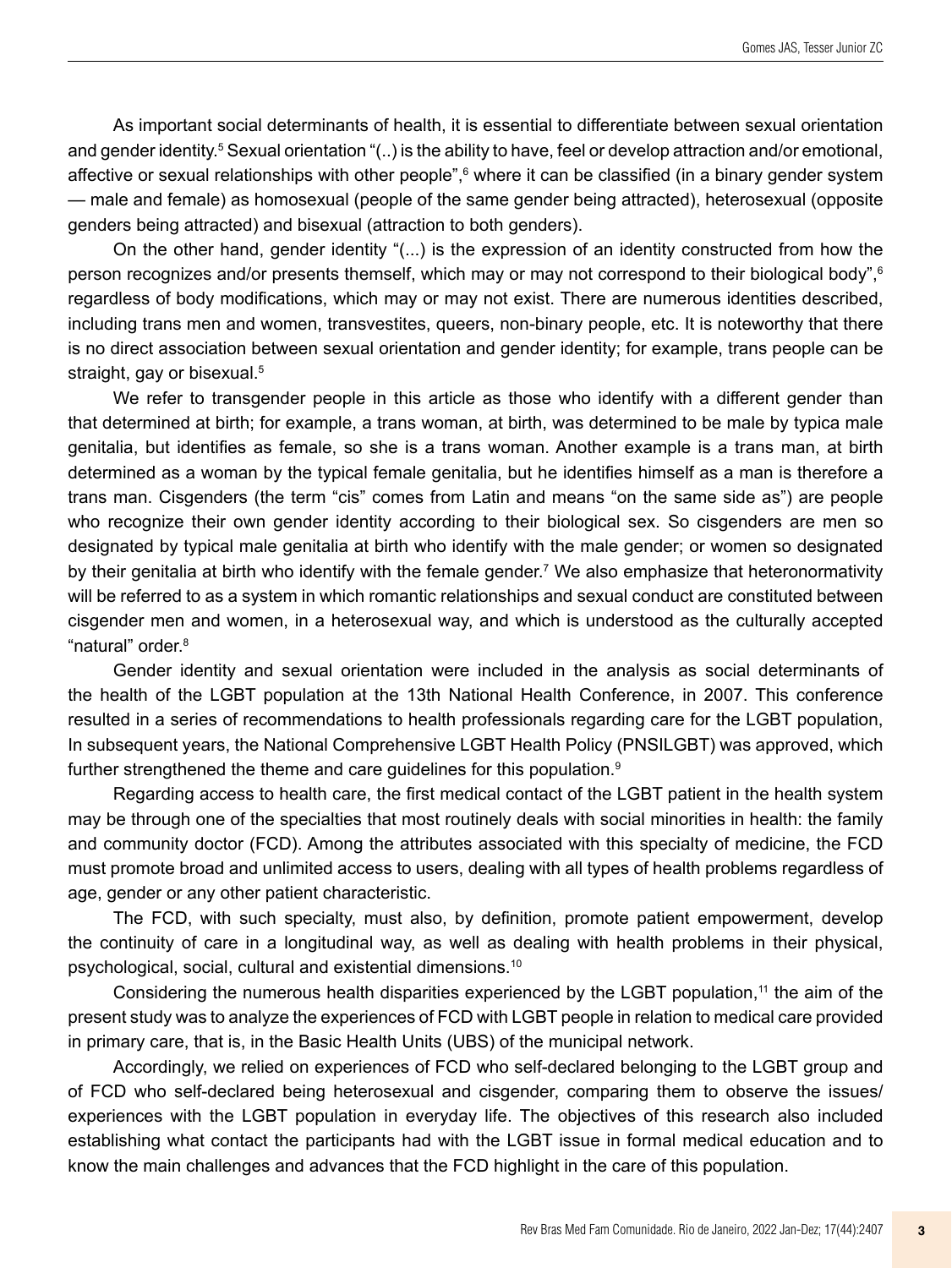As important social determinants of health, it is essential to differentiate between sexual orientation and gender identity.<sup>5</sup> Sexual orientation "(..) is the ability to have, feel or develop attraction and/or emotional, affective or sexual relationships with other people",<sup>6</sup> where it can be classified (in a binary gender system — male and female) as homosexual (people of the same gender being attracted), heterosexual (opposite genders being attracted) and bisexual (attraction to both genders).

On the other hand, gender identity "(...) is the expression of an identity constructed from how the person recognizes and/or presents themself, which may or may not correspond to their biological body",<sup>6</sup> regardless of body modifications, which may or may not exist. There are numerous identities described, including trans men and women, transvestites, queers, non-binary people, etc. It is noteworthy that there is no direct association between sexual orientation and gender identity; for example, trans people can be straight, gay or bisexual.<sup>5</sup>

We refer to transgender people in this article as those who identify with a different gender than that determined at birth; for example, a trans woman, at birth, was determined to be male by typica male genitalia, but identifies as female, so she is a trans woman. Another example is a trans man, at birth determined as a woman by the typical female genitalia, but he identifies himself as a man is therefore a trans man. Cisgenders (the term "cis" comes from Latin and means "on the same side as") are people who recognize their own gender identity according to their biological sex. So cisgenders are men so designated by typical male genitalia at birth who identify with the male gender; or women so designated by their genitalia at birth who identify with the female gender.7 We also emphasize that heteronormativity will be referred to as a system in which romantic relationships and sexual conduct are constituted between cisgender men and women, in a heterosexual way, and which is understood as the culturally accepted "natural" order.<sup>8</sup>

Gender identity and sexual orientation were included in the analysis as social determinants of the health of the LGBT population at the 13th National Health Conference, in 2007. This conference resulted in a series of recommendations to health professionals regarding care for the LGBT population, In subsequent years, the National Comprehensive LGBT Health Policy (PNSILGBT) was approved, which further strengthened the theme and care guidelines for this population.<sup>9</sup>

Regarding access to health care, the first medical contact of the LGBT patient in the health system may be through one of the specialties that most routinely deals with social minorities in health: the family and community doctor (FCD). Among the attributes associated with this specialty of medicine, the FCD must promote broad and unlimited access to users, dealing with all types of health problems regardless of age, gender or any other patient characteristic.

The FCD, with such specialty, must also, by definition, promote patient empowerment, develop the continuity of care in a longitudinal way, as well as dealing with health problems in their physical, psychological, social, cultural and existential dimensions.10

Considering the numerous health disparities experienced by the LGBT population,<sup>11</sup> the aim of the present study was to analyze the experiences of FCD with LGBT people in relation to medical care provided in primary care, that is, in the Basic Health Units (UBS) of the municipal network.

Accordingly, we relied on experiences of FCD who self-declared belonging to the LGBT group and of FCD who self-declared being heterosexual and cisgender, comparing them to observe the issues/ experiences with the LGBT population in everyday life. The objectives of this research also included establishing what contact the participants had with the LGBT issue in formal medical education and to know the main challenges and advances that the FCD highlight in the care of this population.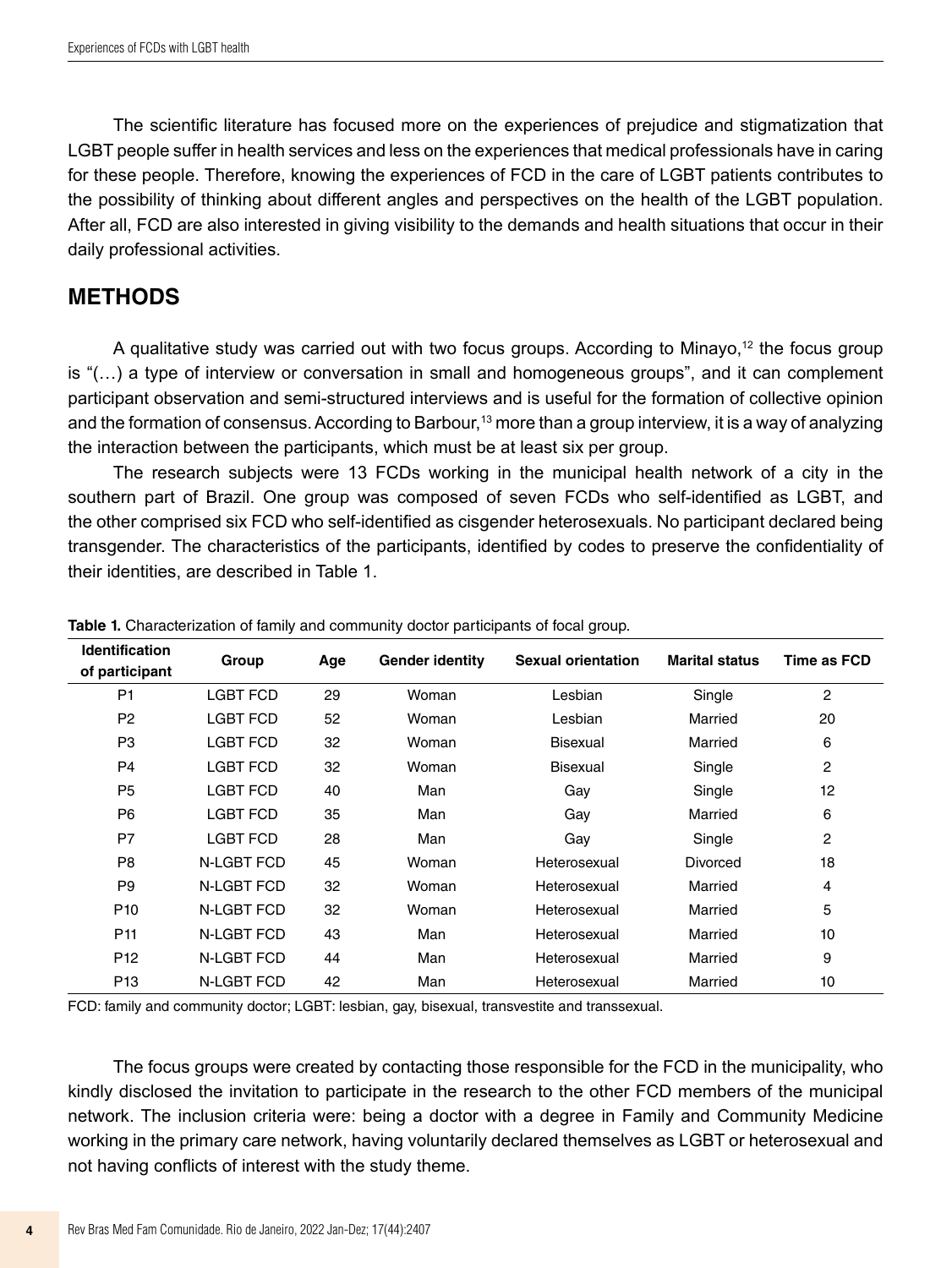The scientific literature has focused more on the experiences of prejudice and stigmatization that LGBT people suffer in health services and less on the experiences that medical professionals have in caring for these people. Therefore, knowing the experiences of FCD in the care of LGBT patients contributes to the possibility of thinking about different angles and perspectives on the health of the LGBT population. After all, FCD are also interested in giving visibility to the demands and health situations that occur in their daily professional activities.

## **METHODS**

A qualitative study was carried out with two focus groups. According to Minayo,<sup>12</sup> the focus group is "(…) a type of interview or conversation in small and homogeneous groups", and it can complement participant observation and semi-structured interviews and is useful for the formation of collective opinion and the formation of consensus. According to Barbour,<sup>13</sup> more than a group interview, it is a way of analyzing the interaction between the participants, which must be at least six per group.

The research subjects were 13 FCDs working in the municipal health network of a city in the southern part of Brazil. One group was composed of seven FCDs who self-identified as LGBT, and the other comprised six FCD who self-identified as cisgender heterosexuals. No participant declared being transgender. The characteristics of the participants, identified by codes to preserve the confidentiality of their identities, are described in Table 1.

| <b>Identification</b><br>of participant | Group             | Age | <b>Gender identity</b> | <b>Sexual orientation</b> | <b>Marital status</b> | Time as FCD    |
|-----------------------------------------|-------------------|-----|------------------------|---------------------------|-----------------------|----------------|
| P <sub>1</sub>                          | <b>LGBT FCD</b>   | 29  | Woman                  | Lesbian                   | Single                | 2              |
| P <sub>2</sub>                          | <b>LGBT FCD</b>   | 52  | Woman                  | Lesbian                   | Married               | 20             |
| P <sub>3</sub>                          | <b>LGBT FCD</b>   | 32  | Woman                  | <b>Bisexual</b>           | Married               | 6              |
| P <sub>4</sub>                          | LGBT FCD          | 32  | Woman                  | <b>Bisexual</b>           | Single                | 2              |
| P <sub>5</sub>                          | <b>LGBT FCD</b>   | 40  | Man                    | Gay                       | Single                | 12             |
| P <sub>6</sub>                          | <b>LGBT FCD</b>   | 35  | Man                    | Gay                       | Married               | 6              |
| P7                                      | <b>LGBT FCD</b>   | 28  | Man                    | Gay                       | Single                | $\overline{c}$ |
| P <sub>8</sub>                          | N-LGBT FCD        | 45  | Woman                  | Heterosexual              | Divorced              | 18             |
| P <sub>9</sub>                          | <b>N-LGBT FCD</b> | 32  | Woman                  | Heterosexual              | Married               | 4              |
| P <sub>10</sub>                         | N-LGBT FCD        | 32  | Woman                  | Heterosexual              | Married               | 5              |
| P <sub>11</sub>                         | N-LGBT FCD        | 43  | Man                    | Heterosexual              | Married               | 10             |
| P <sub>12</sub>                         | N-LGBT FCD        | 44  | Man                    | Heterosexual              | Married               | 9              |
| P <sub>13</sub>                         | N-LGBT FCD        | 42  | Man                    | Heterosexual              | Married               | 10             |

**Table 1.** Characterization of family and community doctor participants of focal group.

FCD: family and community doctor; LGBT: lesbian, gay, bisexual, transvestite and transsexual.

The focus groups were created by contacting those responsible for the FCD in the municipality, who kindly disclosed the invitation to participate in the research to the other FCD members of the municipal network. The inclusion criteria were: being a doctor with a degree in Family and Community Medicine working in the primary care network, having voluntarily declared themselves as LGBT or heterosexual and not having conflicts of interest with the study theme.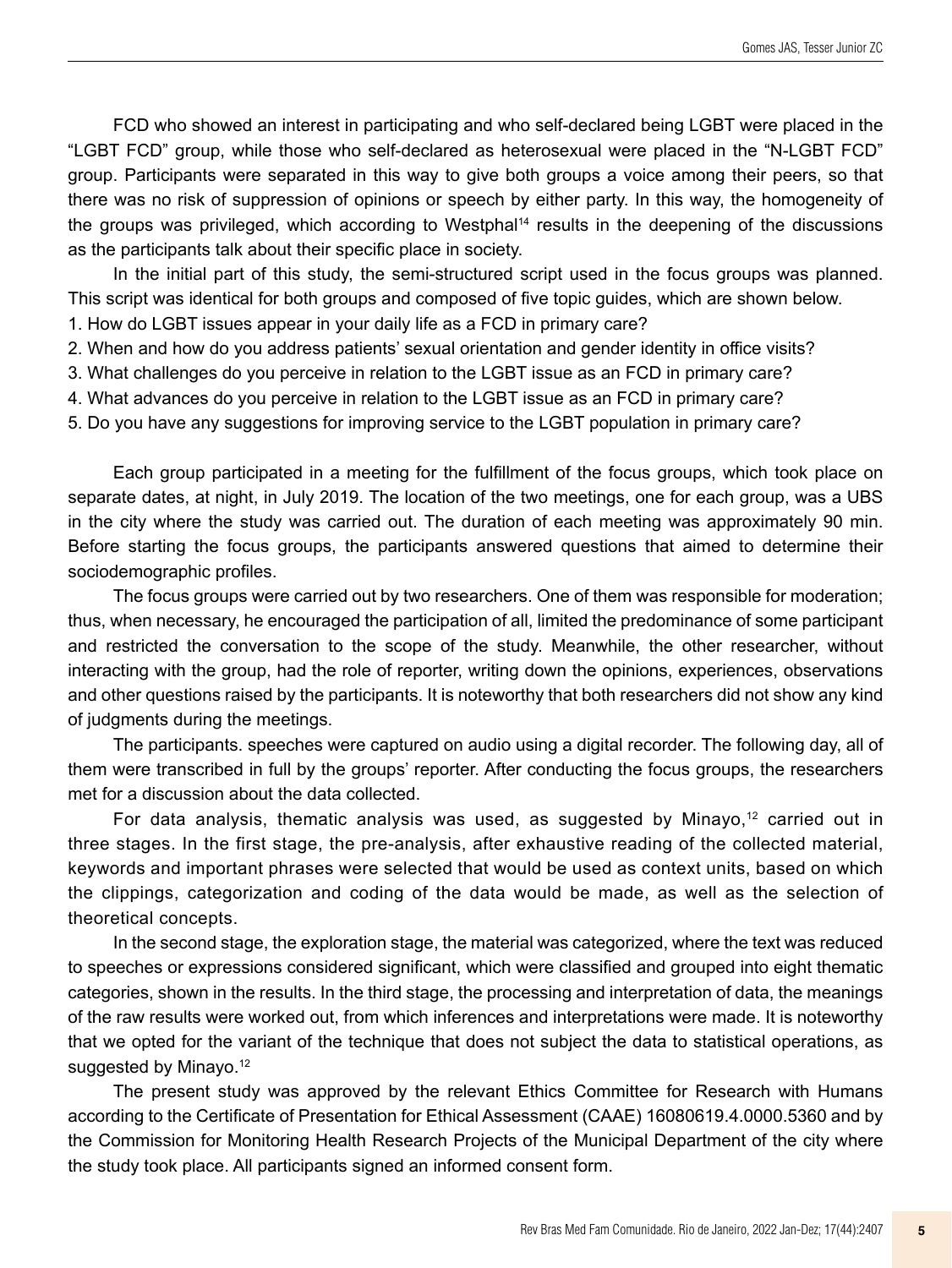FCD who showed an interest in participating and who self-declared being LGBT were placed in the "LGBT FCD" group, while those who self-declared as heterosexual were placed in the "N-LGBT FCD" group. Participants were separated in this way to give both groups a voice among their peers, so that there was no risk of suppression of opinions or speech by either party. In this way, the homogeneity of the groups was privileged, which according to Westphal<sup>14</sup> results in the deepening of the discussions as the participants talk about their specific place in society.

In the initial part of this study, the semi-structured script used in the focus groups was planned. This script was identical for both groups and composed of five topic guides, which are shown below.

1. How do LGBT issues appear in your daily life as a FCD in primary care?

2. When and how do you address patients' sexual orientation and gender identity in office visits?

3. What challenges do you perceive in relation to the LGBT issue as an FCD in primary care?

4. What advances do you perceive in relation to the LGBT issue as an FCD in primary care?

5. Do you have any suggestions for improving service to the LGBT population in primary care?

Each group participated in a meeting for the fulfillment of the focus groups, which took place on separate dates, at night, in July 2019. The location of the two meetings, one for each group, was a UBS in the city where the study was carried out. The duration of each meeting was approximately 90 min. Before starting the focus groups, the participants answered questions that aimed to determine their sociodemographic profiles.

The focus groups were carried out by two researchers. One of them was responsible for moderation; thus, when necessary, he encouraged the participation of all, limited the predominance of some participant and restricted the conversation to the scope of the study. Meanwhile, the other researcher, without interacting with the group, had the role of reporter, writing down the opinions, experiences, observations and other questions raised by the participants. It is noteworthy that both researchers did not show any kind of judgments during the meetings.

The participants. speeches were captured on audio using a digital recorder. The following day, all of them were transcribed in full by the groups' reporter. After conducting the focus groups, the researchers met for a discussion about the data collected.

For data analysis, thematic analysis was used, as suggested by Minayo, $12$  carried out in three stages. In the first stage, the pre-analysis, after exhaustive reading of the collected material, keywords and important phrases were selected that would be used as context units, based on which the clippings, categorization and coding of the data would be made, as well as the selection of theoretical concepts.

In the second stage, the exploration stage, the material was categorized, where the text was reduced to speeches or expressions considered significant, which were classified and grouped into eight thematic categories, shown in the results. In the third stage, the processing and interpretation of data, the meanings of the raw results were worked out, from which inferences and interpretations were made. It is noteworthy that we opted for the variant of the technique that does not subject the data to statistical operations, as suggested by Minayo.<sup>12</sup>

The present study was approved by the relevant Ethics Committee for Research with Humans according to the Certificate of Presentation for Ethical Assessment (CAAE) 16080619.4.0000.5360 and by the Commission for Monitoring Health Research Projects of the Municipal Department of the city where the study took place. All participants signed an informed consent form.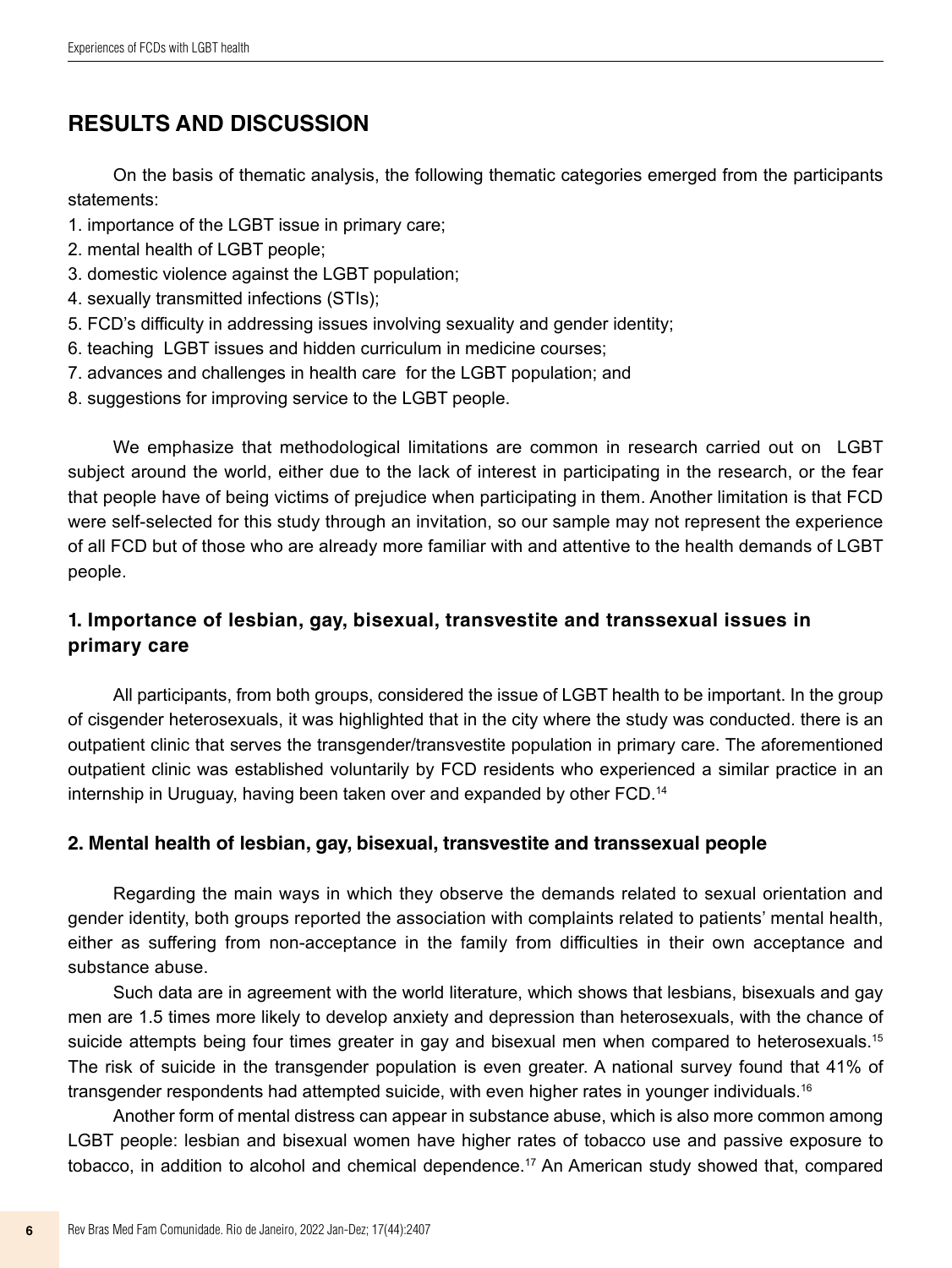## **RESULTS AND DISCUSSION**

On the basis of thematic analysis, the following thematic categories emerged from the participants statements:

- 1. importance of the LGBT issue in primary care;
- 2. mental health of LGBT people;
- 3. domestic violence against the LGBT population;
- 4. sexually transmitted infections (STIs);
- 5. FCD's difficulty in addressing issues involving sexuality and gender identity;
- 6. teaching LGBT issues and hidden curriculum in medicine courses;
- 7. advances and challenges in health care for the LGBT population; and
- 8. suggestions for improving service to the LGBT people.

We emphasize that methodological limitations are common in research carried out on LGBT subject around the world, either due to the lack of interest in participating in the research, or the fear that people have of being victims of prejudice when participating in them. Another limitation is that FCD were self-selected for this study through an invitation, so our sample may not represent the experience of all FCD but of those who are already more familiar with and attentive to the health demands of LGBT people.

## **1. Importance of lesbian, gay, bisexual, transvestite and transsexual issues in primary care**

All participants, from both groups, considered the issue of LGBT health to be important. In the group of cisgender heterosexuals, it was highlighted that in the city where the study was conducted. there is an outpatient clinic that serves the transgender/transvestite population in primary care. The aforementioned outpatient clinic was established voluntarily by FCD residents who experienced a similar practice in an internship in Uruguay, having been taken over and expanded by other FCD.<sup>14</sup>

#### **2. Mental health of lesbian, gay, bisexual, transvestite and transsexual people**

Regarding the main ways in which they observe the demands related to sexual orientation and gender identity, both groups reported the association with complaints related to patients' mental health, either as suffering from non-acceptance in the family from difficulties in their own acceptance and substance abuse.

Such data are in agreement with the world literature, which shows that lesbians, bisexuals and gay men are 1.5 times more likely to develop anxiety and depression than heterosexuals, with the chance of suicide attempts being four times greater in gay and bisexual men when compared to heterosexuals.<sup>15</sup> The risk of suicide in the transgender population is even greater. A national survey found that 41% of transgender respondents had attempted suicide, with even higher rates in younger individuals.<sup>16</sup>

Another form of mental distress can appear in substance abuse, which is also more common among LGBT people: lesbian and bisexual women have higher rates of tobacco use and passive exposure to tobacco, in addition to alcohol and chemical dependence.17 An American study showed that, compared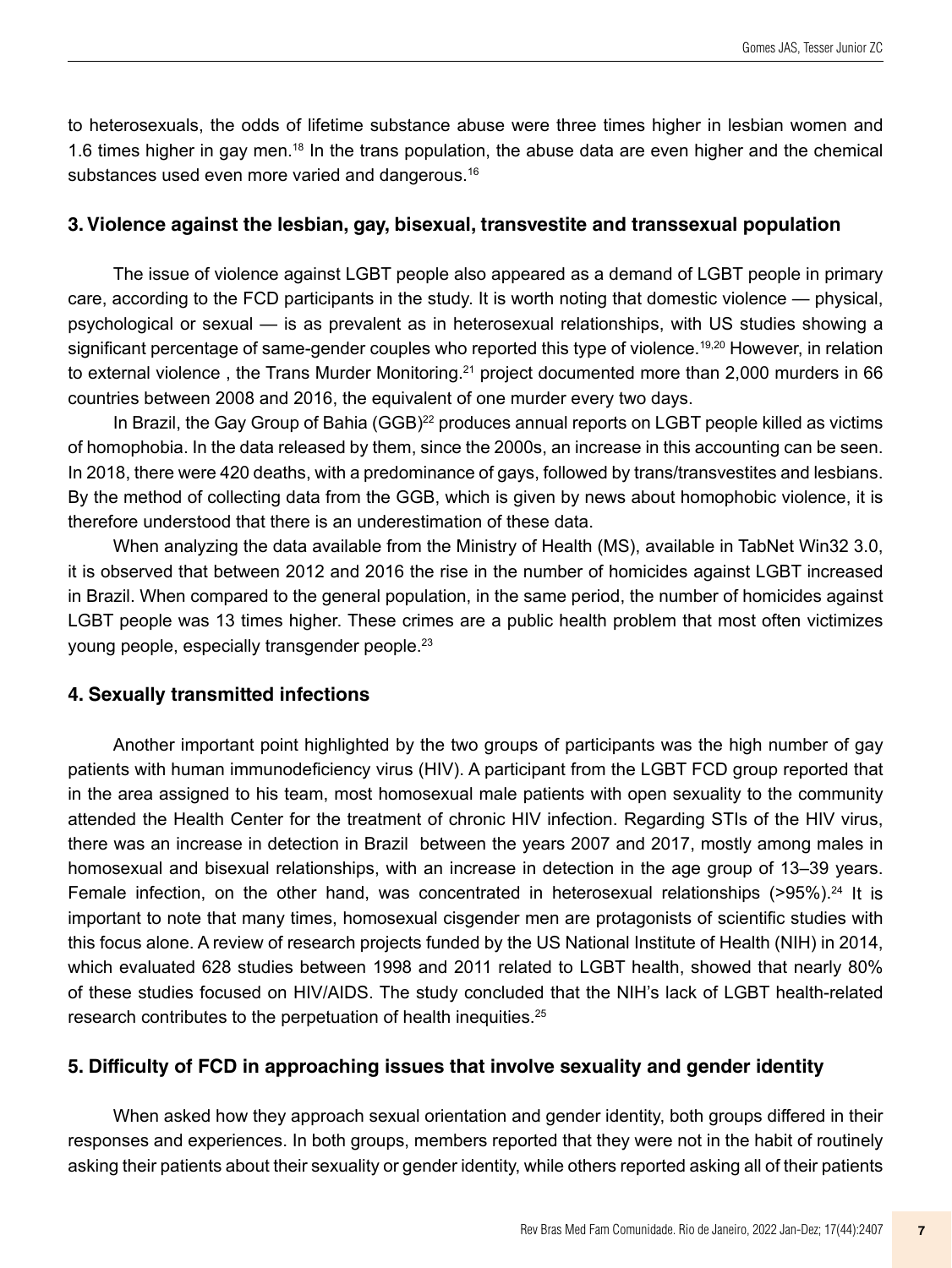to heterosexuals, the odds of lifetime substance abuse were three times higher in lesbian women and 1.6 times higher in gay men.18 In the trans population, the abuse data are even higher and the chemical substances used even more varied and dangerous.<sup>16</sup>

#### **3. Violence against the lesbian, gay, bisexual, transvestite and transsexual population**

The issue of violence against LGBT people also appeared as a demand of LGBT people in primary care, according to the FCD participants in the study. It is worth noting that domestic violence — physical, psychological or sexual — is as prevalent as in heterosexual relationships, with US studies showing a significant percentage of same-gender couples who reported this type of violence.<sup>19,20</sup> However, in relation to external violence, the Trans Murder Monitoring.<sup>21</sup> project documented more than 2,000 murders in 66 countries between 2008 and 2016, the equivalent of one murder every two days.

In Brazil, the Gay Group of Bahia (GGB)<sup>22</sup> produces annual reports on LGBT people killed as victims of homophobia. In the data released by them, since the 2000s, an increase in this accounting can be seen. In 2018, there were 420 deaths, with a predominance of gays, followed by trans/transvestites and lesbians. By the method of collecting data from the GGB, which is given by news about homophobic violence, it is therefore understood that there is an underestimation of these data.

When analyzing the data available from the Ministry of Health (MS), available in TabNet Win32 3.0, it is observed that between 2012 and 2016 the rise in the number of homicides against LGBT increased in Brazil. When compared to the general population, in the same period, the number of homicides against LGBT people was 13 times higher. These crimes are a public health problem that most often victimizes young people, especially transgender people.23

#### **4. Sexually transmitted infections**

Another important point highlighted by the two groups of participants was the high number of gay patients with human immunodeficiency virus (HIV). A participant from the LGBT FCD group reported that in the area assigned to his team, most homosexual male patients with open sexuality to the community attended the Health Center for the treatment of chronic HIV infection. Regarding STIs of the HIV virus, there was an increase in detection in Brazil between the years 2007 and 2017, mostly among males in homosexual and bisexual relationships, with an increase in detection in the age group of 13–39 years. Female infection, on the other hand, was concentrated in heterosexual relationships  $(>95\%)$ .<sup>24</sup> It is important to note that many times, homosexual cisgender men are protagonists of scientific studies with this focus alone. A review of research projects funded by the US National Institute of Health (NIH) in 2014, which evaluated 628 studies between 1998 and 2011 related to LGBT health, showed that nearly 80% of these studies focused on HIV/AIDS. The study concluded that the NIH's lack of LGBT health-related research contributes to the perpetuation of health inequities.25

### **5. Difficulty of FCD in approaching issues that involve sexuality and gender identity**

When asked how they approach sexual orientation and gender identity, both groups differed in their responses and experiences. In both groups, members reported that they were not in the habit of routinely asking their patients about their sexuality or gender identity, while others reported asking all of their patients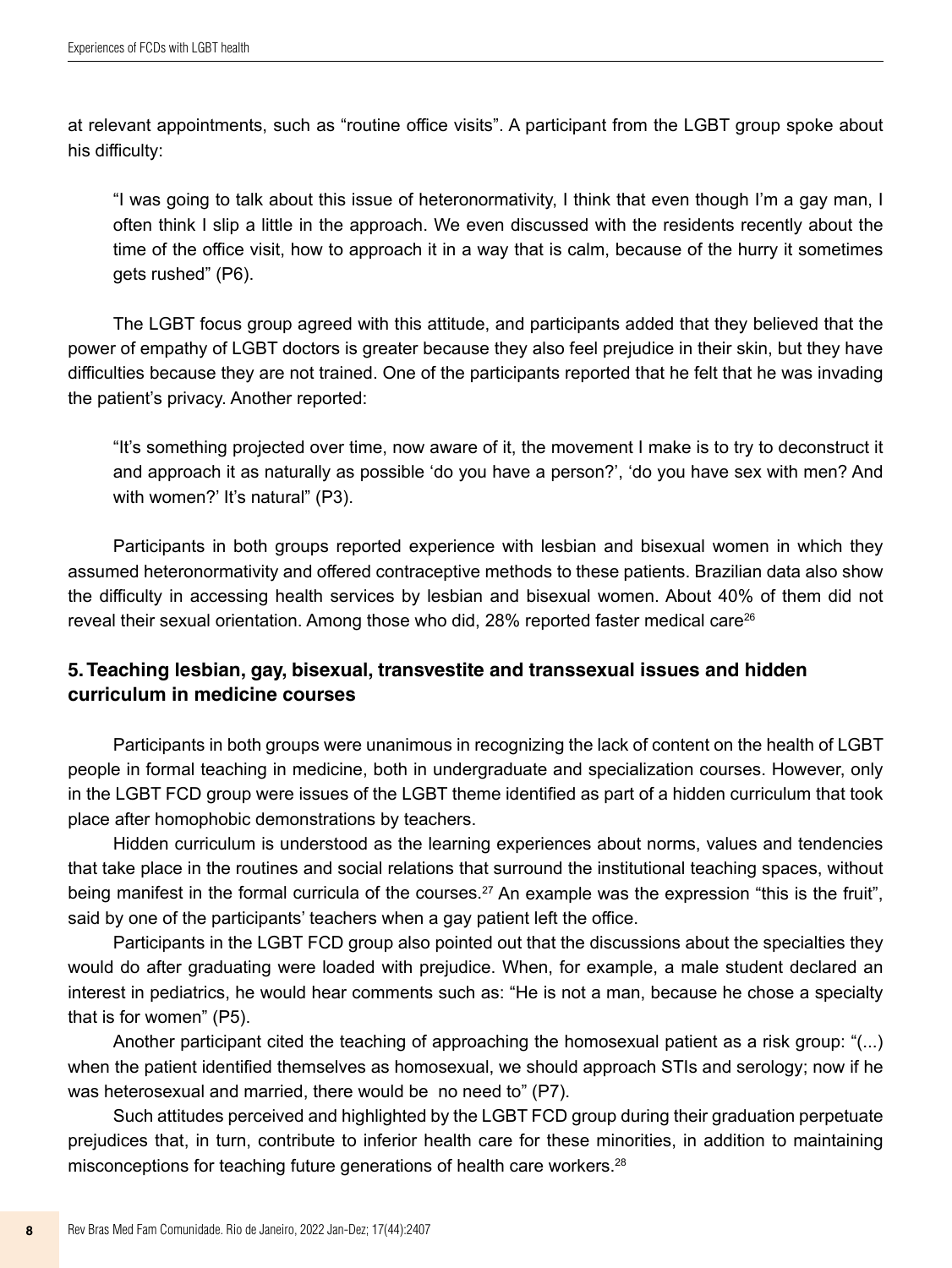at relevant appointments, such as "routine office visits". A participant from the LGBT group spoke about his difficulty:

"I was going to talk about this issue of heteronormativity, I think that even though I'm a gay man, I often think I slip a little in the approach. We even discussed with the residents recently about the time of the office visit, how to approach it in a way that is calm, because of the hurry it sometimes gets rushed" (P6).

The LGBT focus group agreed with this attitude, and participants added that they believed that the power of empathy of LGBT doctors is greater because they also feel prejudice in their skin, but they have difficulties because they are not trained. One of the participants reported that he felt that he was invading the patient's privacy. Another reported:

"It's something projected over time, now aware of it, the movement I make is to try to deconstruct it and approach it as naturally as possible 'do you have a person?', 'do you have sex with men? And with women?' It's natural" (P3).

Participants in both groups reported experience with lesbian and bisexual women in which they assumed heteronormativity and offered contraceptive methods to these patients. Brazilian data also show the difficulty in accessing health services by lesbian and bisexual women. About 40% of them did not reveal their sexual orientation. Among those who did, 28% reported faster medical care<sup>26</sup>

## **5. Teaching lesbian, gay, bisexual, transvestite and transsexual issues and hidden curriculum in medicine courses**

Participants in both groups were unanimous in recognizing the lack of content on the health of LGBT people in formal teaching in medicine, both in undergraduate and specialization courses. However, only in the LGBT FCD group were issues of the LGBT theme identified as part of a hidden curriculum that took place after homophobic demonstrations by teachers.

Hidden curriculum is understood as the learning experiences about norms, values and tendencies that take place in the routines and social relations that surround the institutional teaching spaces, without being manifest in the formal curricula of the courses.<sup>27</sup> An example was the expression "this is the fruit", said by one of the participants' teachers when a gay patient left the office.

Participants in the LGBT FCD group also pointed out that the discussions about the specialties they would do after graduating were loaded with prejudice. When, for example, a male student declared an interest in pediatrics, he would hear comments such as: "He is not a man, because he chose a specialty that is for women" (P5).

Another participant cited the teaching of approaching the homosexual patient as a risk group: "(...) when the patient identified themselves as homosexual, we should approach STIs and serology; now if he was heterosexual and married, there would be no need to" (P7).

Such attitudes perceived and highlighted by the LGBT FCD group during their graduation perpetuate prejudices that, in turn, contribute to inferior health care for these minorities, in addition to maintaining misconceptions for teaching future generations of health care workers.28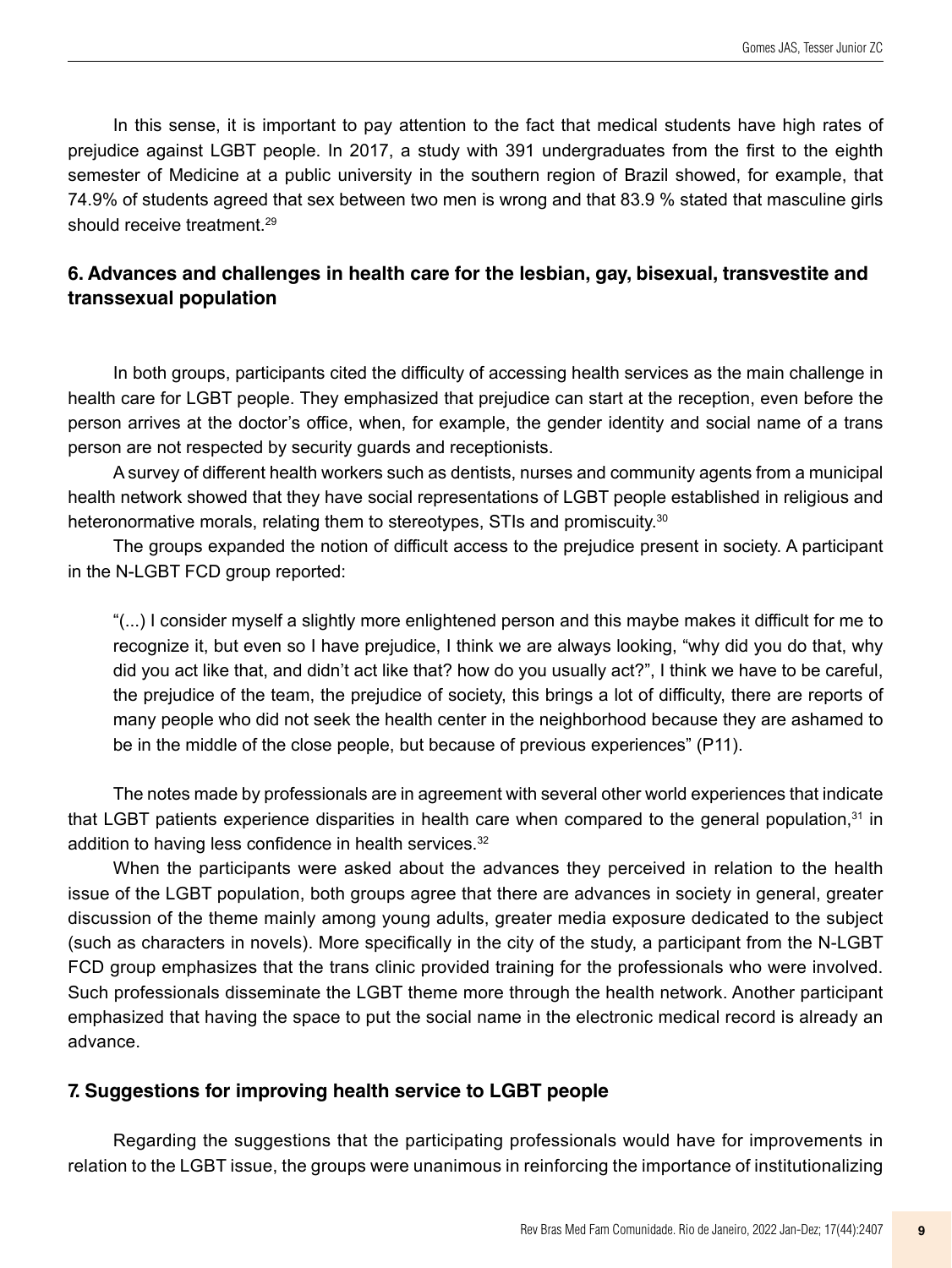In this sense, it is important to pay attention to the fact that medical students have high rates of prejudice against LGBT people. In 2017, a study with 391 undergraduates from the first to the eighth semester of Medicine at a public university in the southern region of Brazil showed, for example, that 74.9% of students agreed that sex between two men is wrong and that 83.9 % stated that masculine girls should receive treatment.<sup>29</sup>

## **6. Advances and challenges in health care for the lesbian, gay, bisexual, transvestite and transsexual population**

In both groups, participants cited the difficulty of accessing health services as the main challenge in health care for LGBT people. They emphasized that prejudice can start at the reception, even before the person arrives at the doctor's office, when, for example, the gender identity and social name of a trans person are not respected by security guards and receptionists.

A survey of different health workers such as dentists, nurses and community agents from a municipal health network showed that they have social representations of LGBT people established in religious and heteronormative morals, relating them to stereotypes, STIs and promiscuity. $^{\rm 30}$ 

The groups expanded the notion of difficult access to the prejudice present in society. A participant in the N-LGBT FCD group reported:

"(...) I consider myself a slightly more enlightened person and this maybe makes it difficult for me to recognize it, but even so I have prejudice, I think we are always looking, "why did you do that, why did you act like that, and didn't act like that? how do you usually act?", I think we have to be careful, the prejudice of the team, the prejudice of society, this brings a lot of difficulty, there are reports of many people who did not seek the health center in the neighborhood because they are ashamed to be in the middle of the close people, but because of previous experiences" (P11).

The notes made by professionals are in agreement with several other world experiences that indicate that LGBT patients experience disparities in health care when compared to the general population,<sup>31</sup> in addition to having less confidence in health services.<sup>32</sup>

When the participants were asked about the advances they perceived in relation to the health issue of the LGBT population, both groups agree that there are advances in society in general, greater discussion of the theme mainly among young adults, greater media exposure dedicated to the subject (such as characters in novels). More specifically in the city of the study, a participant from the N-LGBT FCD group emphasizes that the trans clinic provided training for the professionals who were involved. Such professionals disseminate the LGBT theme more through the health network. Another participant emphasized that having the space to put the social name in the electronic medical record is already an advance.

### **7. Suggestions for improving health service to LGBT people**

Regarding the suggestions that the participating professionals would have for improvements in relation to the LGBT issue, the groups were unanimous in reinforcing the importance of institutionalizing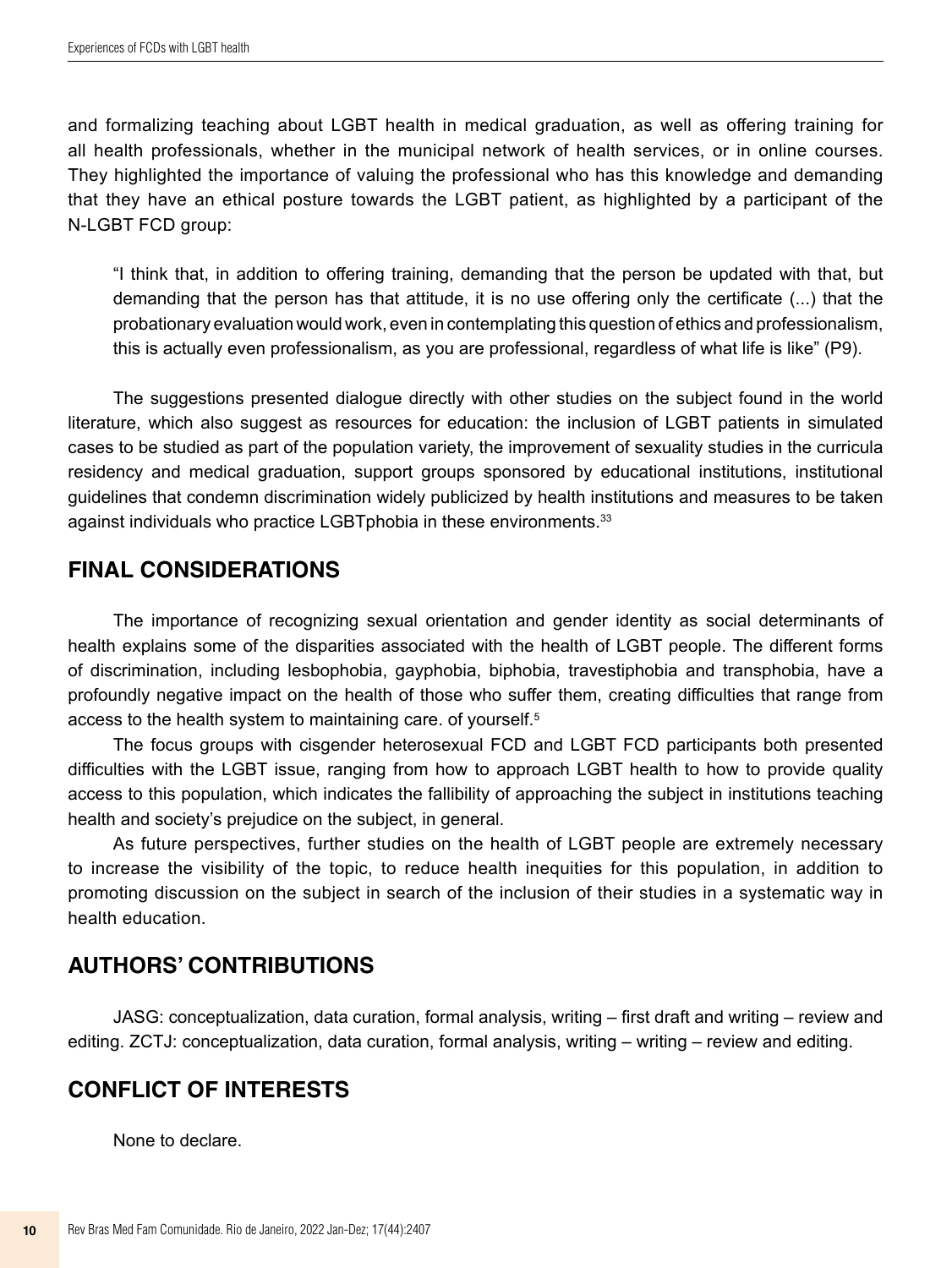and formalizing teaching about LGBT health in medical graduation, as well as offering training for all health professionals, whether in the municipal network of health services, or in online courses. They highlighted the importance of valuing the professional who has this knowledge and demanding that they have an ethical posture towards the LGBT patient, as highlighted by a participant of the N-LGBT FCD group:

"I think that, in addition to offering training, demanding that the person be updated with that, but demanding that the person has that attitude, it is no use offering only the certificate (...) that the probationary evaluation would work, even in contemplating this question of ethics and professionalism, this is actually even professionalism, as you are professional, regardless of what life is like" (P9).

The suggestions presented dialogue directly with other studies on the subject found in the world literature, which also suggest as resources for education: the inclusion of LGBT patients in simulated cases to be studied as part of the population variety, the improvement of sexuality studies in the curricula residency and medical graduation, support groups sponsored by educational institutions, institutional guidelines that condemn discrimination widely publicized by health institutions and measures to be taken against individuals who practice LGBTphobia in these environments.<sup>33</sup>

## **FINAL CONSIDERATIONS**

The importance of recognizing sexual orientation and gender identity as social determinants of health explains some of the disparities associated with the health of LGBT people. The different forms of discrimination, including lesbophobia, gayphobia, biphobia, travestiphobia and transphobia, have a profoundly negative impact on the health of those who suffer them, creating difficulties that range from access to the health system to maintaining care. of yourself.<sup>5</sup>

The focus groups with cisgender heterosexual FCD and LGBT FCD participants both presented difficulties with the LGBT issue, ranging from how to approach LGBT health to how to provide quality access to this population, which indicates the fallibility of approaching the subject in institutions teaching health and society's prejudice on the subject, in general.

As future perspectives, further studies on the health of LGBT people are extremely necessary to increase the visibility of the topic, to reduce health inequities for this population, in addition to promoting discussion on the subject in search of the inclusion of their studies in a systematic way in health education.

## **AUTHORS' CONTRIBUTIONS**

JASG: conceptualization, data curation, formal analysis, writing – first draft and writing – review and editing. ZCTJ: conceptualization, data curation, formal analysis, writing – writing – review and editing.

## **CONFLICT OF INTERESTS**

None to declare.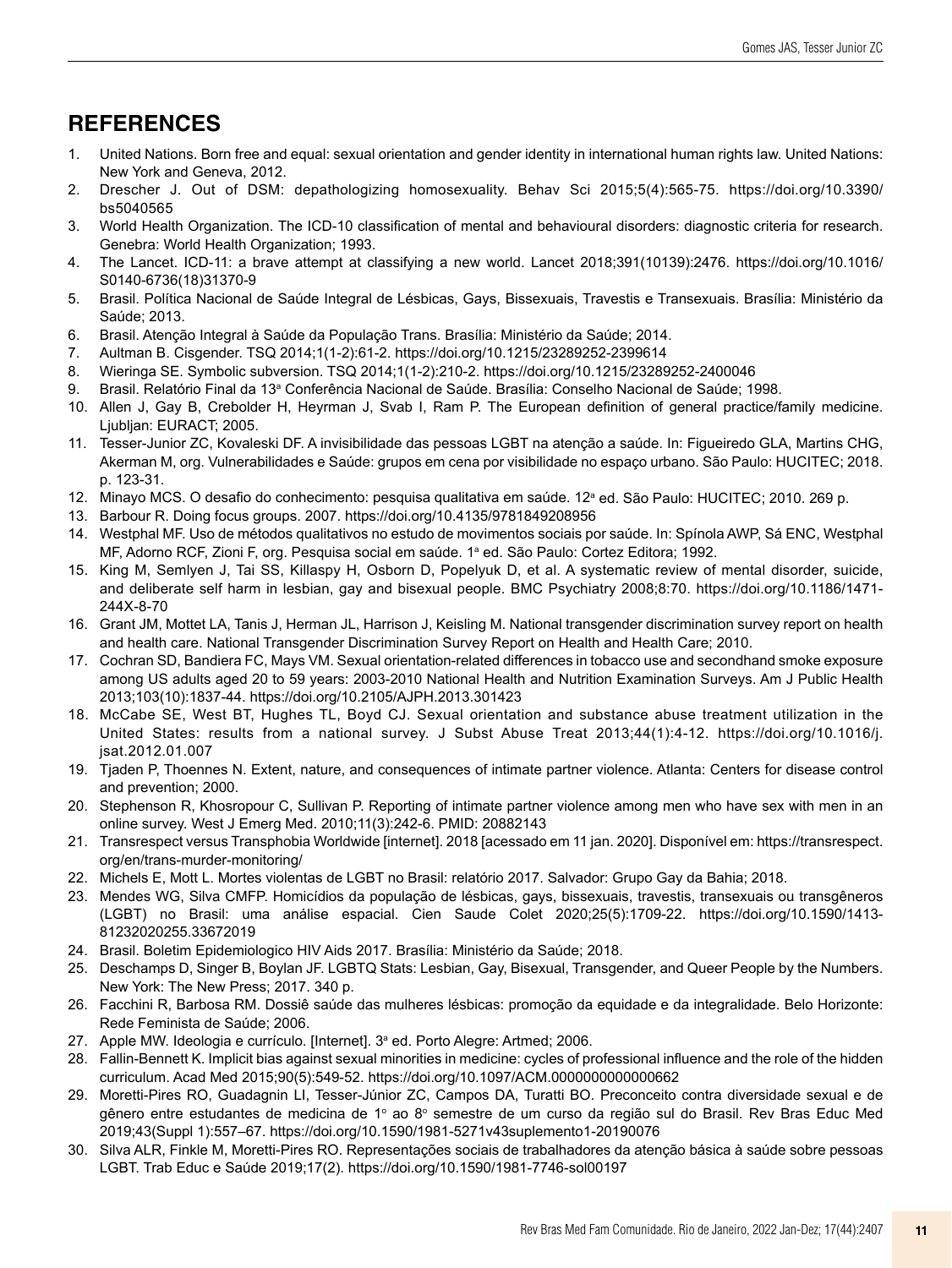## **REFERENCES**

- 1. United Nations. Born free and equal: sexual orientation and gender identity in international human rights law. United Nations: New York and Geneva, 2012.
- 2. Drescher J. Out of DSM: depathologizing homosexuality. Behav Sci 2015;5(4):565-75. [https://doi.org/10.3390/](https://doi.org/10.3390/bs5040565) [bs5040565](https://doi.org/10.3390/bs5040565)
- 3. World Health Organization. The ICD-10 classification of mental and behavioural disorders: diagnostic criteria for research. Genebra: World Health Organization; 1993.
- 4. The Lancet. ICD-11: a brave attempt at classifying a new world. Lancet 2018;391(10139):2476. [https://doi.org/10.1016/](https://doi.org/10.1016/S0140-6736(18)31370-9) [S0140-6736\(18\)31370-9](https://doi.org/10.1016/S0140-6736(18)31370-9)
- 5. Brasil. Política Nacional de Saúde Integral de Lésbicas, Gays, Bissexuais, Travestis e Transexuais. Brasília: Ministério da Saúde; 2013.
- 6. Brasil. Atenção Integral à Saúde da População Trans. Brasília: Ministério da Saúde; 2014.
- 7. Aultman B. Cisgender. TSQ 2014;1(1-2):61-2.<https://doi.org/10.1215/23289252-2399614>
- 8. Wieringa SE. Symbolic subversion. TSQ 2014;1(1-2):210-2. <https://doi.org/10.1215/23289252-2400046>
- 9. Brasil. Relatório Final da 13ª Conferência Nacional de Saúde. Brasília: Conselho Nacional de Saúde; 1998.
- 10. Allen J, Gay B, Crebolder H, Heyrman J, Svab I, Ram P. The European definition of general practice/family medicine. Liublian: EURACT: 2005.
- 11. Tesser-Junior ZC, Kovaleski DF. A invisibilidade das pessoas LGBT na atenção a saúde. In: Figueiredo GLA, Martins CHG, Akerman M, org. Vulnerabilidades e Saúde: grupos em cena por visibilidade no espaço urbano. São Paulo: HUCITEC; 2018. p. 123-31.
- 12. Minayo MCS. O desafio do conhecimento: pesquisa qualitativa em saúde. 12ª ed. São Paulo: HUCITEC; 2010. 269 p.
- 13. Barbour R. Doing focus groups. 2007. <https://doi.org/10.4135/9781849208956>
- 14. Westphal MF. Uso de métodos qualitativos no estudo de movimentos sociais por saúde. In: Spínola AWP, Sá ENC, Westphal MF, Adorno RCF, Zioni F, org. Pesquisa social em saúde. 1ª ed. São Paulo: Cortez Editora; 1992.
- 15. King M, Semlyen J, Tai SS, Killaspy H, Osborn D, Popelyuk D, et al. A systematic review of mental disorder, suicide, and deliberate self harm in lesbian, gay and bisexual people. BMC Psychiatry 2008;8:70. [https://doi.org/10.1186/1471-](https://doi.org/10.1186/1471-244X-8-70) [244X-8-70](https://doi.org/10.1186/1471-244X-8-70)
- 16. Grant JM, Mottet LA, Tanis J, Herman JL, Harrison J, Keisling M. National transgender discrimination survey report on health and health care. National Transgender Discrimination Survey Report on Health and Health Care; 2010.
- 17. Cochran SD, Bandiera FC, Mays VM. Sexual orientation-related differences in tobacco use and secondhand smoke exposure among US adults aged 20 to 59 years: 2003-2010 National Health and Nutrition Examination Surveys. Am J Public Health 2013;103(10):1837-44.<https://doi.org/10.2105/AJPH.2013.301423>
- 18. McCabe SE, West BT, Hughes TL, Boyd CJ. Sexual orientation and substance abuse treatment utilization in the United States: results from a national survey. J Subst Abuse Treat 2013;44(1):4-12. [https://doi.org/10.1016/j.](https://doi.org/10.1016/j.jsat.2012.01.007) [jsat.2012.01.007](https://doi.org/10.1016/j.jsat.2012.01.007)
- 19. Tjaden P, Thoennes N. Extent, nature, and consequences of intimate partner violence. Atlanta: Centers for disease control and prevention; 2000.
- 20. Stephenson R, Khosropour C, Sullivan P. Reporting of intimate partner violence among men who have sex with men in an online survey. West J Emerg Med. 2010;11(3):242-6. PMID: 20882143
- 21. Transrespect versus Transphobia Worldwide [internet]. 2018 [acessado em 11 jan. 2020]. Disponível em: [https://transrespect.](https://transrespect.org/en/trans-murder-monitoring/) [org/en/trans-murder-monitoring/](https://transrespect.org/en/trans-murder-monitoring/)
- 22. Michels E, Mott L. Mortes violentas de LGBT no Brasil: relatório 2017. Salvador: Grupo Gay da Bahia; 2018.
- 23. Mendes WG, Silva CMFP. Homicídios da população de lésbicas, gays, bissexuais, travestis, transexuais ou transgêneros (LGBT) no Brasil: uma análise espacial. Cien Saude Colet 2020;25(5):1709-22. [https://doi.org/10.1590/1413-](https://doi.org/10.1590/1413-81232020255.33672019) [81232020255.33672019](https://doi.org/10.1590/1413-81232020255.33672019)
- 24. Brasil. Boletim Epidemiologico HIV Aids 2017. Brasília: Ministério da Saúde; 2018.
- 25. Deschamps D, Singer B, Boylan JF. LGBTQ Stats: Lesbian, Gay, Bisexual, Transgender, and Queer People by the Numbers. New York: The New Press; 2017. 340 p.
- 26. Facchini R, Barbosa RM. Dossiê saúde das mulheres lésbicas: promoção da equidade e da integralidade. Belo Horizonte: Rede Feminista de Saúde; 2006.
- 27. Apple MW. Ideologia e currículo. [Internet]. 3ª ed. Porto Alegre: Artmed; 2006.
- 28. Fallin-Bennett K. Implicit bias against sexual minorities in medicine: cycles of professional influence and the role of the hidden curriculum. Acad Med 2015;90(5):549-52.<https://doi.org/10.1097/ACM.0000000000000662>
- 29. Moretti-Pires RO, Guadagnin LI, Tesser-Júnior ZC, Campos DA, Turatti BO. Preconceito contra diversidade sexual e de gênero entre estudantes de medicina de 1º ao 8º semestre de um curso da região sul do Brasil. Rev Bras Educ Med 2019;43(Suppl 1):557–67. <https://doi.org/10.1590/1981-5271v43suplemento1-20190076>
- 30. Silva ALR, Finkle M, Moretti-Pires RO. Representações sociais de trabalhadores da atenção básica à saúde sobre pessoas LGBT. Trab Educ e Saúde 2019;17(2). <https://doi.org/10.1590/1981-7746-sol00197>